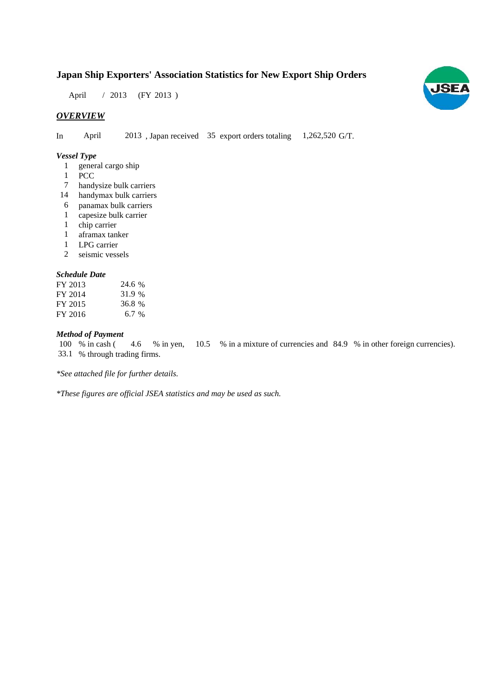# **Japan Ship Exporters' Association Statistics for New Export Ship Orders**

April / 2013 (FY 2013)

## *OVERVIEW*

In April 2013, Japan received 35 export orders totaling 1,262,520 G/T.

#### *Vessel Type*

- 1 general cargo ship
- 1 PCC
- handysize bulk carriers 7
- handymax bulk carriers 14
- panamax bulk carriers 6
- capesize bulk carrier 1
- chip carrier 1
- aframax tanker 1
- LPG carrier 1
- seismic vessels 2

#### *Schedule Date*

| FY 2013 | 24.6 % |
|---------|--------|
| FY 2014 | 31.9 % |
| FY 2015 | 36.8 % |
| FY 2016 | 6.7%   |

#### *Method of Payment*

% in cash (4.6 % in yen, 10.5 % in a mixture of currencies and 84.9 % in other foreign currencies). 33.1 % through trading firms. 4.6 % in yen, 100 % in cash (

*\*See attached file for further details.*

*\*These figures are official JSEA statistics and may be used as such.*

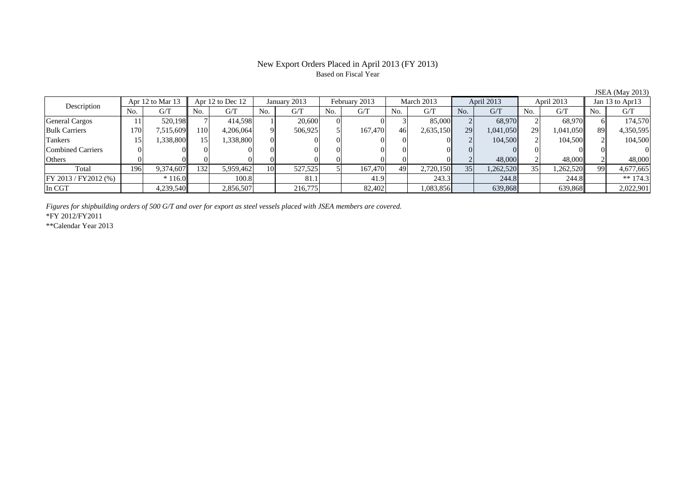#### New Export Orders Placed in April 2013 (FY 2013) Based on Fiscal Year

No. G/T No. G/T No. G/T No. G/T No. G/T No. G/T No. G/T No. G/T $G/T$ General Cargos | 11| 520,198|| 7| 414,598| 1| 20,600| 0| 3| 85,000| 2| 68,970| 2| 68,970|| 6| 174,570 Bulk Carriers 170 7,515,609 110 4,206,064 9 506,925 5 167,470 46 2,635,150 29 1,041,050 29 1,041,050 89 4,350,595 Tankers | 15| 1,338,800|| 15| 1,338,800| 0| 0| 0| 0| 0| 2| 104,500| 2| 104,500 2| 104,500 Combined Carriers 0 0 0 0 0 0 0 0 0 0 0 0 0 0 0 0Others 0 0 0 0 0 0 0 0 0 0 2 48,000 2 48,000 2 48,000 Total 196 9,374,607 132 5,959,462 10 527,525 5 167,470 49 2,720,150 35 1,262,520 35 1,262,520 99 4,677,665 FY 2013 / FY2012 (%) \* 116.0 100.8 81.1 41.9 243.3 244.8 244.8 \*\* 174.3 In CGT | | 4,239,540|| | 2,856,507| | 216,775| | 82,402| | 1,083,856| | 639,868| | 639,868| | 2,022,901 January 2013 February 2013 Description Apr 12 to Mar 13 Apr 12 to Dec 12 March 2013 April 2013 April 2013 Jan 13 to Apr13

*Figures for shipbuilding orders of 500 G/T and over for export as steel vessels placed with JSEA members are covered.*

\*FY 2012/FY2011

\*\*Calendar Year 2013

JSEA (May 2013)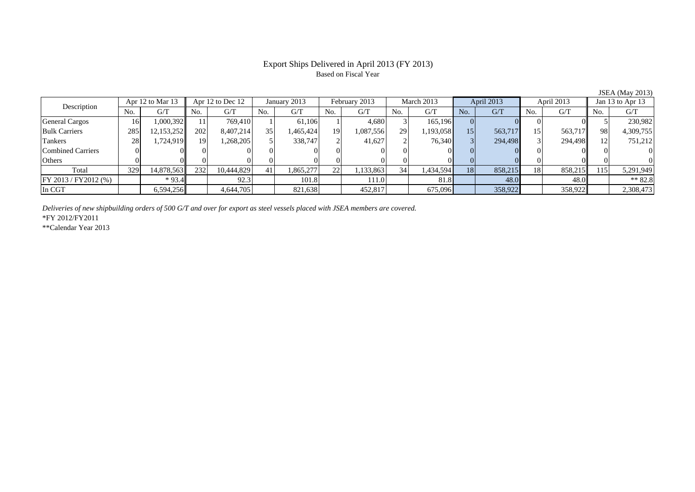## Export Ships Delivered in April 2013 (FY 2013) Based on Fiscal Year

|                          |                  |            |                  |            |                 |           |               |           |            |           |            |         |            |         |                  | $\cdots$  |
|--------------------------|------------------|------------|------------------|------------|-----------------|-----------|---------------|-----------|------------|-----------|------------|---------|------------|---------|------------------|-----------|
| Description              | Apr 12 to Mar 13 |            | Apr 12 to Dec 12 |            | January 2013    |           | February 2013 |           | March 2013 |           | April 2013 |         | April 2013 |         | Jan 13 to Apr 13 |           |
|                          | No.              | G/T        | No.              | G/T        | No.             | G/T       | No.           | G/T       | No.        | G/T       | No.        | G/T     | No.        | G/T     | No.              | G/T       |
| <b>General Cargos</b>    | 16               | 1,000,392  |                  | 769,410    |                 | 61.106    |               | 4,680     |            | 165,196   |            |         |            |         |                  | 230,982   |
| <b>Bulk Carriers</b>     | 285              | 12,153,252 | 202              | 8,407,214  | 35 <sub>1</sub> | 1,465,424 | 19            | 1,087,556 | 29         | 1,193,058 | 15         | 563,717 | 15         | 563,717 | 98               | 4,309,755 |
| Tankers                  | 28               | 1,724,919  | 19               | .268,205   |                 | 338,747   |               | 41,627    |            | 76,340    |            | 294,498 |            | 294,498 |                  | 751,212   |
| <b>Combined Carriers</b> |                  |            |                  |            |                 |           |               |           |            |           |            |         |            |         |                  | 0         |
| Others                   |                  |            |                  |            |                 |           |               |           |            |           |            |         |            |         |                  | 0         |
| Total                    | 329              | 14,878,563 | 232              | 10,444,829 | 41              | 1,865,277 | 22            | .133,863  | 34         | 1,434,594 | 18         | 858,215 | 18         | 858,215 | 15،              | 5,291,949 |
| FY 2013 / FY2012 (%)     |                  | $*93.4$    |                  | 92.3       |                 | 101.8     |               | 111.0     |            | 81.8      |            | 48.0    |            | 48.0    |                  | ** 82.8   |
| In CGT                   |                  | 6,594,256  |                  | 4,644,705  |                 | 821,638   |               | 452,817   |            | 675,096   |            | 358,922 |            | 358,922 |                  | 2,308,473 |

*Deliveries of new shipbuilding orders of 500 G/T and over for export as steel vessels placed with JSEA members are covered.*

\*FY 2012/FY2011

\*\*Calendar Year 2013

JSEA (May 2013)